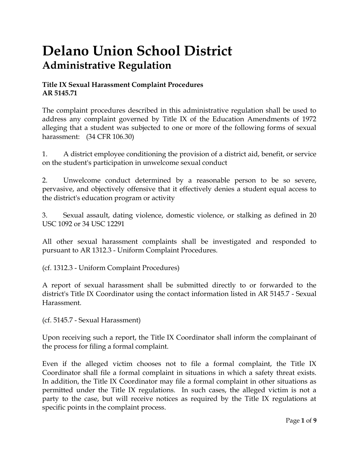# **Delano Union School District Administrative Regulation**

## **Title IX Sexual Harassment Complaint Procedures AR 5145.71**

The complaint procedures described in this administrative regulation shall be used to address any complaint governed by Title IX of the Education Amendments of 1972 alleging that a student was subjected to one or more of the following forms of sexual harassment: (34 CFR 106.30)

1. A district employee conditioning the provision of a district aid, benefit, or service on the student's participation in unwelcome sexual conduct

2. Unwelcome conduct determined by a reasonable person to be so severe, pervasive, and objectively offensive that it effectively denies a student equal access to the district's education program or activity

3. Sexual assault, dating violence, domestic violence, or stalking as defined in 20 USC 1092 or 34 USC 12291

All other sexual harassment complaints shall be investigated and responded to pursuant to AR 1312.3 - Uniform Complaint Procedures.

(cf. 1312.3 - Uniform Complaint Procedures)

A report of sexual harassment shall be submitted directly to or forwarded to the district's Title IX Coordinator using the contact information listed in AR 5145.7 - Sexual Harassment.

(cf. 5145.7 - Sexual Harassment)

Upon receiving such a report, the Title IX Coordinator shall inform the complainant of the process for filing a formal complaint.

Even if the alleged victim chooses not to file a formal complaint, the Title IX Coordinator shall file a formal complaint in situations in which a safety threat exists. In addition, the Title IX Coordinator may file a formal complaint in other situations as permitted under the Title IX regulations. In such cases, the alleged victim is not a party to the case, but will receive notices as required by the Title IX regulations at specific points in the complaint process.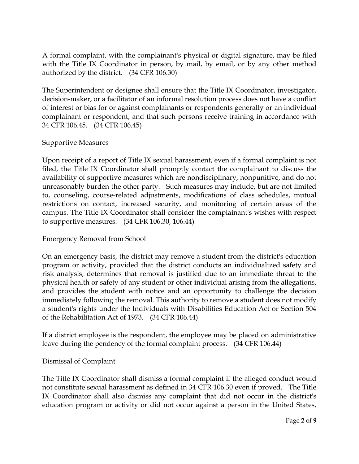A formal complaint, with the complainant's physical or digital signature, may be filed with the Title IX Coordinator in person, by mail, by email, or by any other method authorized by the district. (34 CFR 106.30)

The Superintendent or designee shall ensure that the Title IX Coordinator, investigator, decision-maker, or a facilitator of an informal resolution process does not have a conflict of interest or bias for or against complainants or respondents generally or an individual complainant or respondent, and that such persons receive training in accordance with 34 CFR 106.45. (34 CFR 106.45)

#### Supportive Measures

Upon receipt of a report of Title IX sexual harassment, even if a formal complaint is not filed, the Title IX Coordinator shall promptly contact the complainant to discuss the availability of supportive measures which are nondisciplinary, nonpunitive, and do not unreasonably burden the other party. Such measures may include, but are not limited to, counseling, course-related adjustments, modifications of class schedules, mutual restrictions on contact, increased security, and monitoring of certain areas of the campus. The Title IX Coordinator shall consider the complainant's wishes with respect to supportive measures. (34 CFR 106.30, 106.44)

#### Emergency Removal from School

On an emergency basis, the district may remove a student from the district's education program or activity, provided that the district conducts an individualized safety and risk analysis, determines that removal is justified due to an immediate threat to the physical health or safety of any student or other individual arising from the allegations, and provides the student with notice and an opportunity to challenge the decision immediately following the removal. This authority to remove a student does not modify a student's rights under the Individuals with Disabilities Education Act or Section 504 of the Rehabilitation Act of 1973. (34 CFR 106.44)

If a district employee is the respondent, the employee may be placed on administrative leave during the pendency of the formal complaint process. (34 CFR 106.44)

#### Dismissal of Complaint

The Title IX Coordinator shall dismiss a formal complaint if the alleged conduct would not constitute sexual harassment as defined in 34 CFR 106.30 even if proved. The Title IX Coordinator shall also dismiss any complaint that did not occur in the district's education program or activity or did not occur against a person in the United States,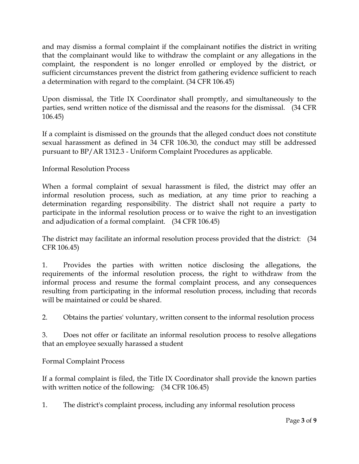and may dismiss a formal complaint if the complainant notifies the district in writing that the complainant would like to withdraw the complaint or any allegations in the complaint, the respondent is no longer enrolled or employed by the district, or sufficient circumstances prevent the district from gathering evidence sufficient to reach a determination with regard to the complaint. (34 CFR 106.45)

Upon dismissal, the Title IX Coordinator shall promptly, and simultaneously to the parties, send written notice of the dismissal and the reasons for the dismissal. (34 CFR 106.45)

If a complaint is dismissed on the grounds that the alleged conduct does not constitute sexual harassment as defined in 34 CFR 106.30, the conduct may still be addressed pursuant to BP/AR 1312.3 - Uniform Complaint Procedures as applicable.

## Informal Resolution Process

When a formal complaint of sexual harassment is filed, the district may offer an informal resolution process, such as mediation, at any time prior to reaching a determination regarding responsibility. The district shall not require a party to participate in the informal resolution process or to waive the right to an investigation and adjudication of a formal complaint. (34 CFR 106.45)

The district may facilitate an informal resolution process provided that the district: (34 CFR 106.45)

1. Provides the parties with written notice disclosing the allegations, the requirements of the informal resolution process, the right to withdraw from the informal process and resume the formal complaint process, and any consequences resulting from participating in the informal resolution process, including that records will be maintained or could be shared.

2. Obtains the parties' voluntary, written consent to the informal resolution process

3. Does not offer or facilitate an informal resolution process to resolve allegations that an employee sexually harassed a student

Formal Complaint Process

If a formal complaint is filed, the Title IX Coordinator shall provide the known parties with written notice of the following: (34 CFR 106.45)

1. The district's complaint process, including any informal resolution process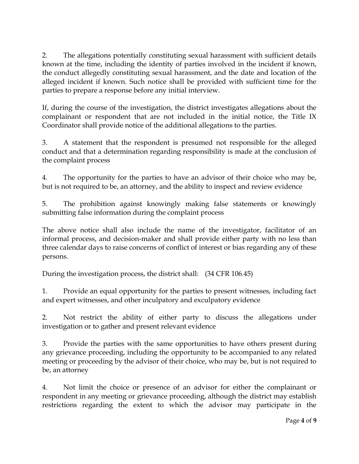2. The allegations potentially constituting sexual harassment with sufficient details known at the time, including the identity of parties involved in the incident if known, the conduct allegedly constituting sexual harassment, and the date and location of the alleged incident if known. Such notice shall be provided with sufficient time for the parties to prepare a response before any initial interview.

If, during the course of the investigation, the district investigates allegations about the complainant or respondent that are not included in the initial notice, the Title IX Coordinator shall provide notice of the additional allegations to the parties.

3. A statement that the respondent is presumed not responsible for the alleged conduct and that a determination regarding responsibility is made at the conclusion of the complaint process

4. The opportunity for the parties to have an advisor of their choice who may be, but is not required to be, an attorney, and the ability to inspect and review evidence

5. The prohibition against knowingly making false statements or knowingly submitting false information during the complaint process

The above notice shall also include the name of the investigator, facilitator of an informal process, and decision-maker and shall provide either party with no less than three calendar days to raise concerns of conflict of interest or bias regarding any of these persons.

During the investigation process, the district shall: (34 CFR 106.45)

1. Provide an equal opportunity for the parties to present witnesses, including fact and expert witnesses, and other inculpatory and exculpatory evidence

2. Not restrict the ability of either party to discuss the allegations under investigation or to gather and present relevant evidence

3. Provide the parties with the same opportunities to have others present during any grievance proceeding, including the opportunity to be accompanied to any related meeting or proceeding by the advisor of their choice, who may be, but is not required to be, an attorney

4. Not limit the choice or presence of an advisor for either the complainant or respondent in any meeting or grievance proceeding, although the district may establish restrictions regarding the extent to which the advisor may participate in the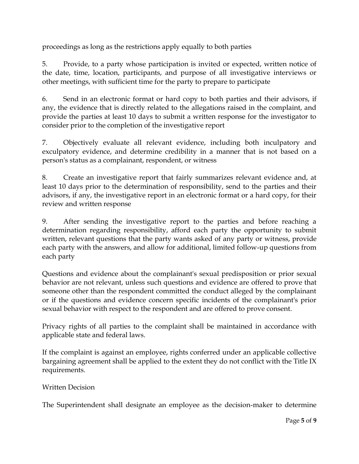proceedings as long as the restrictions apply equally to both parties

5. Provide, to a party whose participation is invited or expected, written notice of the date, time, location, participants, and purpose of all investigative interviews or other meetings, with sufficient time for the party to prepare to participate

6. Send in an electronic format or hard copy to both parties and their advisors, if any, the evidence that is directly related to the allegations raised in the complaint, and provide the parties at least 10 days to submit a written response for the investigator to consider prior to the completion of the investigative report

7. Objectively evaluate all relevant evidence, including both inculpatory and exculpatory evidence, and determine credibility in a manner that is not based on a person's status as a complainant, respondent, or witness

8. Create an investigative report that fairly summarizes relevant evidence and, at least 10 days prior to the determination of responsibility, send to the parties and their advisors, if any, the investigative report in an electronic format or a hard copy, for their review and written response

9. After sending the investigative report to the parties and before reaching a determination regarding responsibility, afford each party the opportunity to submit written, relevant questions that the party wants asked of any party or witness, provide each party with the answers, and allow for additional, limited follow-up questions from each party

Questions and evidence about the complainant's sexual predisposition or prior sexual behavior are not relevant, unless such questions and evidence are offered to prove that someone other than the respondent committed the conduct alleged by the complainant or if the questions and evidence concern specific incidents of the complainant's prior sexual behavior with respect to the respondent and are offered to prove consent.

Privacy rights of all parties to the complaint shall be maintained in accordance with applicable state and federal laws.

If the complaint is against an employee, rights conferred under an applicable collective bargaining agreement shall be applied to the extent they do not conflict with the Title IX requirements.

## Written Decision

The Superintendent shall designate an employee as the decision-maker to determine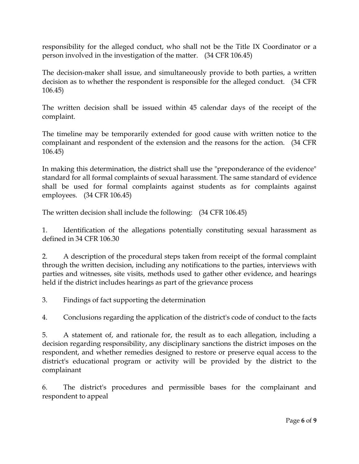responsibility for the alleged conduct, who shall not be the Title IX Coordinator or a person involved in the investigation of the matter. (34 CFR 106.45)

The decision-maker shall issue, and simultaneously provide to both parties, a written decision as to whether the respondent is responsible for the alleged conduct. (34 CFR 106.45)

The written decision shall be issued within 45 calendar days of the receipt of the complaint.

The timeline may be temporarily extended for good cause with written notice to the complainant and respondent of the extension and the reasons for the action. (34 CFR 106.45)

In making this determination, the district shall use the "preponderance of the evidence" standard for all formal complaints of sexual harassment. The same standard of evidence shall be used for formal complaints against students as for complaints against employees. (34 CFR 106.45)

The written decision shall include the following: (34 CFR 106.45)

1. Identification of the allegations potentially constituting sexual harassment as defined in 34 CFR 106.30

2. A description of the procedural steps taken from receipt of the formal complaint through the written decision, including any notifications to the parties, interviews with parties and witnesses, site visits, methods used to gather other evidence, and hearings held if the district includes hearings as part of the grievance process

3. Findings of fact supporting the determination

4. Conclusions regarding the application of the district's code of conduct to the facts

5. A statement of, and rationale for, the result as to each allegation, including a decision regarding responsibility, any disciplinary sanctions the district imposes on the respondent, and whether remedies designed to restore or preserve equal access to the district's educational program or activity will be provided by the district to the complainant

6. The district's procedures and permissible bases for the complainant and respondent to appeal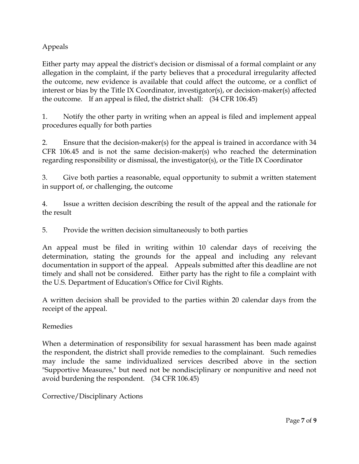# Appeals

Either party may appeal the district's decision or dismissal of a formal complaint or any allegation in the complaint, if the party believes that a procedural irregularity affected the outcome, new evidence is available that could affect the outcome, or a conflict of interest or bias by the Title IX Coordinator, investigator(s), or decision-maker(s) affected the outcome. If an appeal is filed, the district shall: (34 CFR 106.45)

1. Notify the other party in writing when an appeal is filed and implement appeal procedures equally for both parties

2. Ensure that the decision-maker(s) for the appeal is trained in accordance with 34 CFR 106.45 and is not the same decision-maker(s) who reached the determination regarding responsibility or dismissal, the investigator(s), or the Title IX Coordinator

3. Give both parties a reasonable, equal opportunity to submit a written statement in support of, or challenging, the outcome

4. Issue a written decision describing the result of the appeal and the rationale for the result

5. Provide the written decision simultaneously to both parties

An appeal must be filed in writing within 10 calendar days of receiving the determination, stating the grounds for the appeal and including any relevant documentation in support of the appeal. Appeals submitted after this deadline are not timely and shall not be considered. Either party has the right to file a complaint with the U.S. Department of Education's Office for Civil Rights.

A written decision shall be provided to the parties within 20 calendar days from the receipt of the appeal.

## Remedies

When a determination of responsibility for sexual harassment has been made against the respondent, the district shall provide remedies to the complainant. Such remedies may include the same individualized services described above in the section "Supportive Measures," but need not be nondisciplinary or nonpunitive and need not avoid burdening the respondent. (34 CFR 106.45)

## Corrective/Disciplinary Actions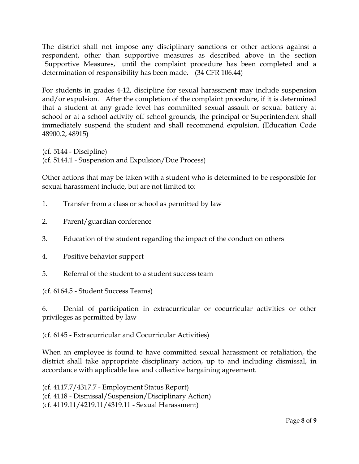The district shall not impose any disciplinary sanctions or other actions against a respondent, other than supportive measures as described above in the section "Supportive Measures," until the complaint procedure has been completed and a determination of responsibility has been made. (34 CFR 106.44)

For students in grades 4-12, discipline for sexual harassment may include suspension and/or expulsion. After the completion of the complaint procedure, if it is determined that a student at any grade level has committed sexual assault or sexual battery at school or at a school activity off school grounds, the principal or Superintendent shall immediately suspend the student and shall recommend expulsion. (Education Code 48900.2, 48915)

(cf. 5144 - Discipline) (cf. 5144.1 - Suspension and Expulsion/Due Process)

Other actions that may be taken with a student who is determined to be responsible for sexual harassment include, but are not limited to:

- 1. Transfer from a class or school as permitted by law
- 2. Parent/guardian conference
- 3. Education of the student regarding the impact of the conduct on others
- 4. Positive behavior support
- 5. Referral of the student to a student success team

(cf. 6164.5 - Student Success Teams)

6. Denial of participation in extracurricular or cocurricular activities or other privileges as permitted by law

(cf. 6145 - Extracurricular and Cocurricular Activities)

When an employee is found to have committed sexual harassment or retaliation, the district shall take appropriate disciplinary action, up to and including dismissal, in accordance with applicable law and collective bargaining agreement.

(cf. 4117.7/4317.7 - Employment Status Report) (cf. 4118 - Dismissal/Suspension/Disciplinary Action) (cf. 4119.11/4219.11/4319.11 - Sexual Harassment)